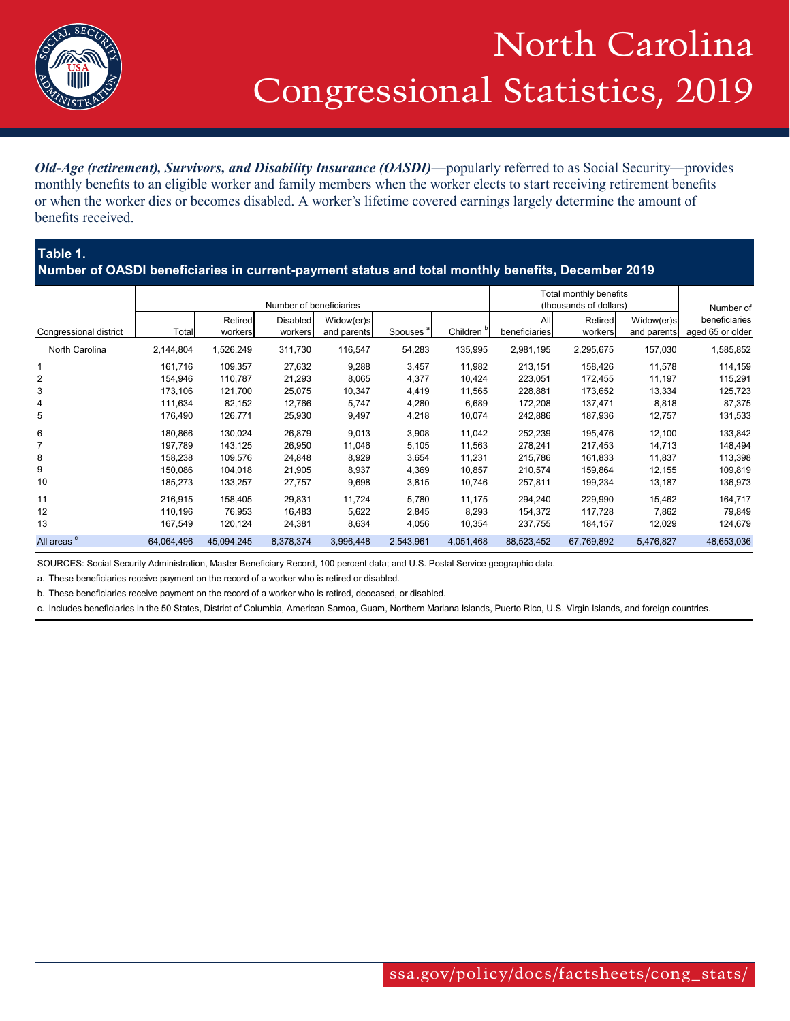

## North Carolina Congressional Statistics, 2019

*Old-Age (retirement), Survivors, and Disability Insurance (OASDI)*—popularly referred to as Social Security—provides monthly benefits to an eligible worker and family members when the worker elects to start receiving retirement benefits or when the worker dies or becomes disabled. A worker's lifetime covered earnings largely determine the amount of benefits received.

## **Table 1. Number of OASDI beneficiaries in current-payment status and total monthly benefits, December 2019**

|                        |            |                    | Number of beneficiaries |                           | Total monthly benefits<br>(thousands of dollars) | Number of |                      |                    |                           |                                   |
|------------------------|------------|--------------------|-------------------------|---------------------------|--------------------------------------------------|-----------|----------------------|--------------------|---------------------------|-----------------------------------|
| Congressional district | Total      | Retired<br>workers | Disabled<br>workers     | Widow(er)s<br>and parents | Spouses <sup>a</sup>                             | Children  | All<br>beneficiaries | Retired<br>workers | Widow(er)s<br>and parents | beneficiaries<br>aged 65 or older |
| North Carolina         | 2,144,804  | 1,526,249          | 311,730                 | 116,547                   | 54,283                                           | 135,995   | 2,981,195            | 2,295,675          | 157,030                   | 1,585,852                         |
|                        | 161,716    | 109,357            | 27,632                  | 9,288                     | 3,457                                            | 11,982    | 213,151              | 158,426            | 11,578                    | 114,159                           |
| 2                      | 154,946    | 110,787            | 21,293                  | 8,065                     | 4,377                                            | 10,424    | 223,051              | 172,455            | 11,197                    | 115,291                           |
| 3                      | 173,106    | 121,700            | 25,075                  | 10,347                    | 4,419                                            | 11,565    | 228,881              | 173,652            | 13,334                    | 125,723                           |
| 4                      | 111,634    | 82,152             | 12,766                  | 5,747                     | 4,280                                            | 6,689     | 172,208              | 137,471            | 8,818                     | 87,375                            |
| 5                      | 176,490    | 126,771            | 25,930                  | 9,497                     | 4,218                                            | 10,074    | 242,886              | 187,936            | 12,757                    | 131,533                           |
| 6                      | 180,866    | 130,024            | 26,879                  | 9,013                     | 3,908                                            | 11,042    | 252,239              | 195,476            | 12,100                    | 133,842                           |
| 7                      | 197,789    | 143,125            | 26,950                  | 11,046                    | 5,105                                            | 11,563    | 278,241              | 217,453            | 14,713                    | 148,494                           |
| 8                      | 158,238    | 109,576            | 24,848                  | 8,929                     | 3,654                                            | 11,231    | 215,786              | 161,833            | 11,837                    | 113,398                           |
| 9                      | 150,086    | 104,018            | 21,905                  | 8,937                     | 4,369                                            | 10,857    | 210,574              | 159,864            | 12,155                    | 109,819                           |
| 10                     | 185,273    | 133,257            | 27,757                  | 9,698                     | 3,815                                            | 10,746    | 257,811              | 199,234            | 13,187                    | 136,973                           |
| 11                     | 216,915    | 158,405            | 29,831                  | 11,724                    | 5,780                                            | 11,175    | 294,240              | 229,990            | 15,462                    | 164,717                           |
| 12                     | 110,196    | 76,953             | 16,483                  | 5,622                     | 2,845                                            | 8,293     | 154,372              | 117,728            | 7,862                     | 79,849                            |
| 13                     | 167,549    | 120,124            | 24,381                  | 8,634                     | 4,056                                            | 10,354    | 237,755              | 184,157            | 12,029                    | 124,679                           |
| All areas <sup>c</sup> | 64,064,496 | 45,094,245         | 8,378,374               | 3,996,448                 | 2,543,961                                        | 4,051,468 | 88,523,452           | 67,769,892         | 5,476,827                 | 48,653,036                        |

SOURCES: Social Security Administration, Master Beneficiary Record, 100 percent data; and U.S. Postal Service geographic data.

a. These beneficiaries receive payment on the record of a worker who is retired or disabled.

b. These beneficiaries receive payment on the record of a worker who is retired, deceased, or disabled.

c. Includes beneficiaries in the 50 States, District of Columbia, American Samoa, Guam, Northern Mariana Islands, Puerto Rico, U.S. Virgin Islands, and foreign countries.